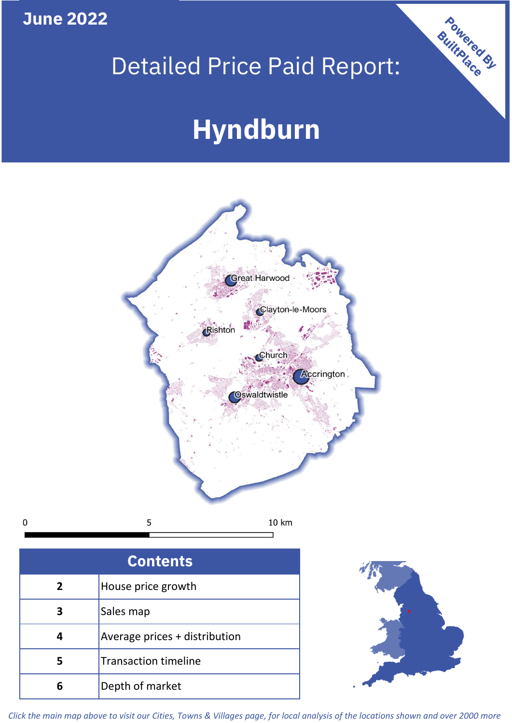**June 2022**

# Detailed Price Paid Report:

# **Hyndburn**



5 10 km  $\mathbf 0$ 

| <b>Contents</b> |                               |  |  |
|-----------------|-------------------------------|--|--|
| $\overline{2}$  | House price growth            |  |  |
| З               | Sales map                     |  |  |
|                 | Average prices + distribution |  |  |
| 5               | <b>Transaction timeline</b>   |  |  |
| h               | Depth of market               |  |  |



Powered By

*Click the main map above to visit our Cities, Towns & Villages page, for local analysis of the locations shown and over 2000 more*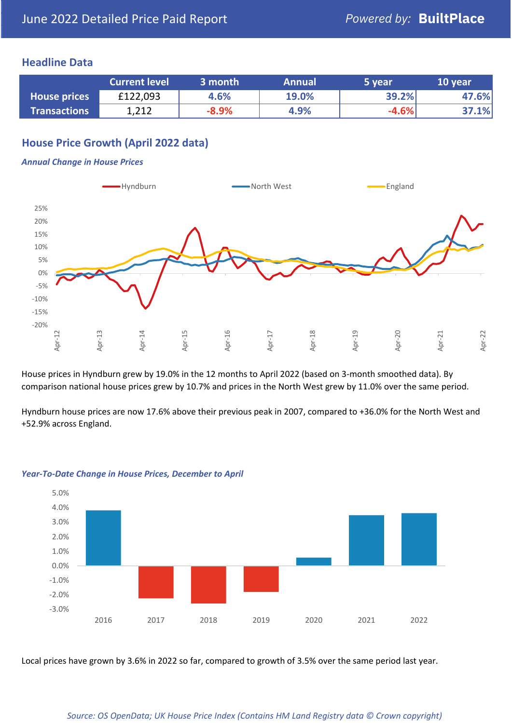#### **Headline Data**

|                     | <b>Current level</b> | 3 month | <b>Annual</b> | 5 year  | 10 year |
|---------------------|----------------------|---------|---------------|---------|---------|
| <b>House prices</b> | £122,093             | 4.6%    | 19.0%         | 39.2%   | 47.6%   |
| <b>Transactions</b> | 1,212                | $-8.9%$ | 4.9%          | $-4.6%$ | 37.1%   |

# **House Price Growth (April 2022 data)**

#### *Annual Change in House Prices*



House prices in Hyndburn grew by 19.0% in the 12 months to April 2022 (based on 3-month smoothed data). By comparison national house prices grew by 10.7% and prices in the North West grew by 11.0% over the same period.

Hyndburn house prices are now 17.6% above their previous peak in 2007, compared to +36.0% for the North West and +52.9% across England.



#### *Year-To-Date Change in House Prices, December to April*

Local prices have grown by 3.6% in 2022 so far, compared to growth of 3.5% over the same period last year.

#### *Source: OS OpenData; UK House Price Index (Contains HM Land Registry data © Crown copyright)*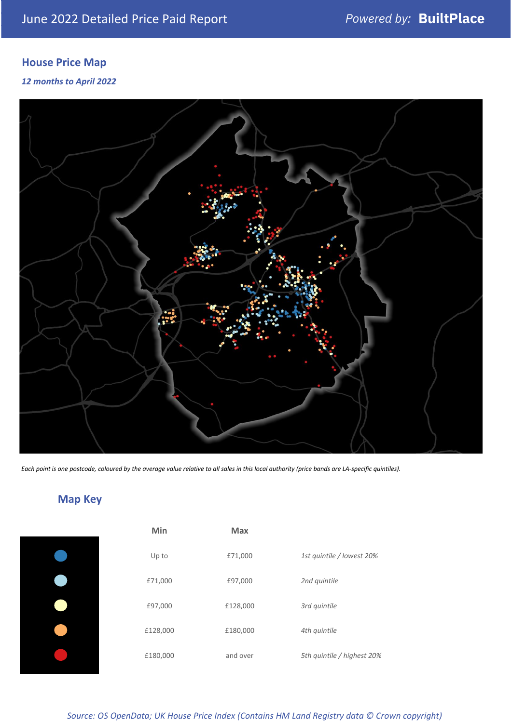# **House Price Map**

#### *12 months to April 2022*



*Each point is one postcode, coloured by the average value relative to all sales in this local authority (price bands are LA-specific quintiles).*

**Map Key**

| Min      | <b>Max</b> |                            |
|----------|------------|----------------------------|
| Up to    | £71,000    | 1st quintile / lowest 20%  |
| £71,000  | £97,000    | 2nd quintile               |
| £97,000  | £128,000   | 3rd quintile               |
| £128,000 | £180,000   | 4th quintile               |
| £180,000 | and over   | 5th quintile / highest 20% |

#### *Source: OS OpenData; UK House Price Index (Contains HM Land Registry data © Crown copyright)*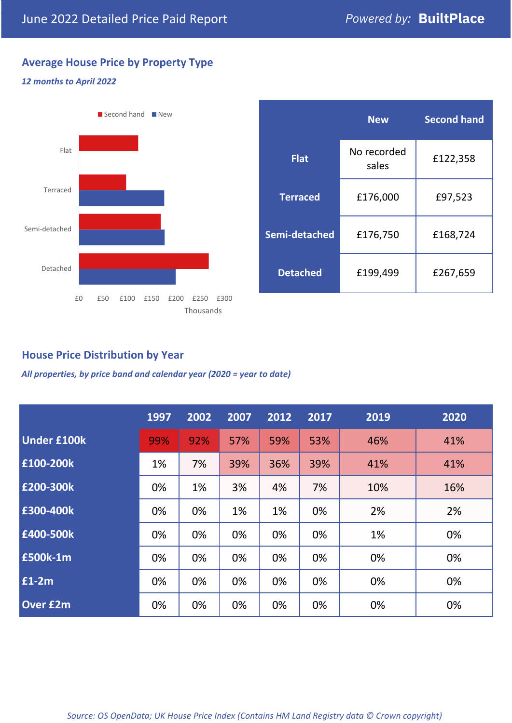# **Average House Price by Property Type**

# *12 months to April 2022*



|                 | <b>New</b>           | <b>Second hand</b> |  |  |
|-----------------|----------------------|--------------------|--|--|
| <b>Flat</b>     | No recorded<br>sales | £122,358           |  |  |
| <b>Terraced</b> | £176,000             | £97,523            |  |  |
| Semi-detached   | £176,750             | £168,724           |  |  |
| <b>Detached</b> | £199,499             | £267,659           |  |  |

## **House Price Distribution by Year**

*All properties, by price band and calendar year (2020 = year to date)*

|                    | 1997 | 2002 | 2007 | 2012 | 2017 | 2019 | 2020 |
|--------------------|------|------|------|------|------|------|------|
| <b>Under £100k</b> | 99%  | 92%  | 57%  | 59%  | 53%  | 46%  | 41%  |
| £100-200k          | 1%   | 7%   | 39%  | 36%  | 39%  | 41%  | 41%  |
| £200-300k          | 0%   | 1%   | 3%   | 4%   | 7%   | 10%  | 16%  |
| £300-400k          | 0%   | 0%   | 1%   | 1%   | 0%   | 2%   | 2%   |
| £400-500k          | 0%   | 0%   | 0%   | 0%   | 0%   | 1%   | 0%   |
| <b>£500k-1m</b>    | 0%   | 0%   | 0%   | 0%   | 0%   | 0%   | 0%   |
| £1-2m              | 0%   | 0%   | 0%   | 0%   | 0%   | 0%   | 0%   |
| <b>Over £2m</b>    | 0%   | 0%   | 0%   | 0%   | 0%   | 0%   | 0%   |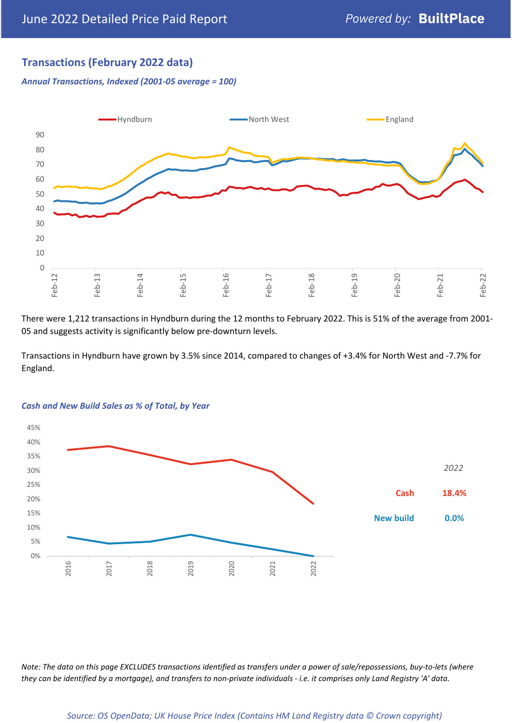# **Transactions (February 2022 data)**

*Annual Transactions, Indexed (2001-05 average = 100)*



There were 1,212 transactions in Hyndburn during the 12 months to February 2022. This is 51% of the average from 2001- 05 and suggests activity is significantly below pre-downturn levels.

Transactions in Hyndburn have grown by 3.5% since 2014, compared to changes of +3.4% for North West and -7.7% for England.



#### *Cash and New Build Sales as % of Total, by Year*

*Note: The data on this page EXCLUDES transactions identified as transfers under a power of sale/repossessions, buy-to-lets (where they can be identified by a mortgage), and transfers to non-private individuals - i.e. it comprises only Land Registry 'A' data.*